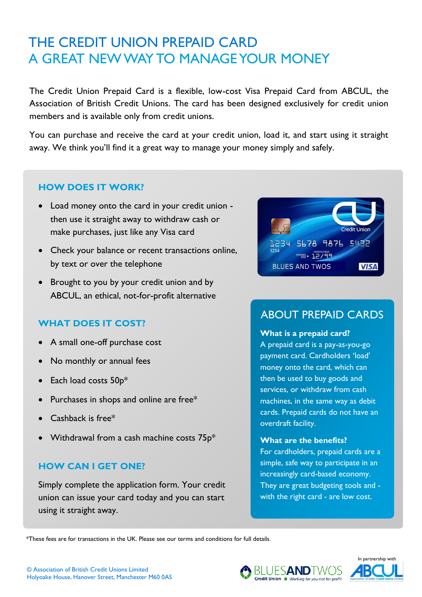# **The Credit Union Prepaid Card** THE CREDIT UNION PREPAID CARD FAQs A GREAT NEW WAY TO MANAGE YOUR MONEY

The Credit Union Prepaid Card is a flexible, low-cost Visa Prepaid Card from ABCUL, the Association of British Credit Unions. The card has been designed exclusively for credit union members and is available only from credit unions.

You can purchase and receive the card at your credit union, load it, and start using it straight away. We think you'll find it a great way to manage your money simply and safely.

# **HOW DOES IT WORK?**

- Load money onto the card in your credit union then use it straight away to withdraw cash or make purchases, just like any Visa card
- Check your balance or recent transactions online, by text or over the telephone
- Brought to you by your credit union and by ABCUL, an ethical, not-for-profit alternative

# **WHAT DOES IT COST?**

- A small one-off purchase cost
- No monthly or annual fees
- Each load costs 50p\*
- Purchases in shops and online are free\*
- Cashback is free\*
- Withdrawal from a cash machine costs  $75p*$

# **HOW CAN I GET ONE?**

Simply complete the application form. Your credit union can issue your card today and you can start using it straight away.



# ABOUT PREPAID CARDS

#### **What is a prepaid card?**

A prepaid card is a pay-as-you-go payment card. Cardholders 'load' money onto the card, which can then be used to buy goods and services, or withdraw from cash machines, in the same way as debit cards. Prepaid cards do not have an overdraft facility.

#### **What are the benefits?**

For cardholders, prepaid cards are a simple, safe way to participate in an increasingly card-based economy. They are great budgeting tools and with the right card - are low cost.

\*These fees are for transactions in the UK. Please see our terms and conditions for full details.